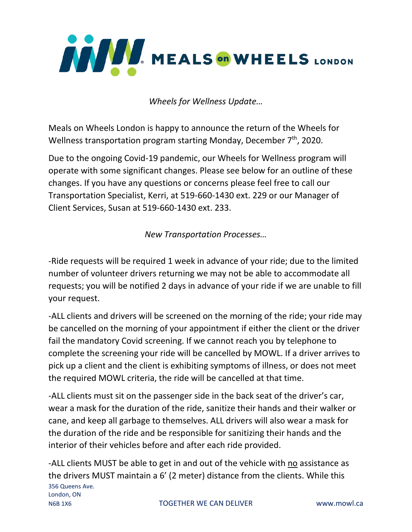

*Wheels for Wellness Update…*

Meals on Wheels London is happy to announce the return of the Wheels for Wellness transportation program starting Monday, December  $7<sup>th</sup>$ , 2020.

Due to the ongoing Covid-19 pandemic, our Wheels for Wellness program will operate with some significant changes. Please see below for an outline of these changes. If you have any questions or concerns please feel free to call our Transportation Specialist, Kerri, at 519-660-1430 ext. 229 or our Manager of Client Services, Susan at 519-660-1430 ext. 233.

*New Transportation Processes…*

-Ride requests will be required 1 week in advance of your ride; due to the limited number of volunteer drivers returning we may not be able to accommodate all requests; you will be notified 2 days in advance of your ride if we are unable to fill your request.

-ALL clients and drivers will be screened on the morning of the ride; your ride may be cancelled on the morning of your appointment if either the client or the driver fail the mandatory Covid screening. If we cannot reach you by telephone to complete the screening your ride will be cancelled by MOWL. If a driver arrives to pick up a client and the client is exhibiting symptoms of illness, or does not meet the required MOWL criteria, the ride will be cancelled at that time.

-ALL clients must sit on the passenger side in the back seat of the driver's car, wear a mask for the duration of the ride, sanitize their hands and their walker or cane, and keep all garbage to themselves. ALL drivers will also wear a mask for the duration of the ride and be responsible for sanitizing their hands and the interior of their vehicles before and after each ride provided.

356 Queens Ave. London, ON N6B 1X6 TOGETHER WE CAN DELIVER www.mowl.ca -ALL clients MUST be able to get in and out of the vehicle with no assistance as the drivers MUST maintain a 6' (2 meter) distance from the clients. While this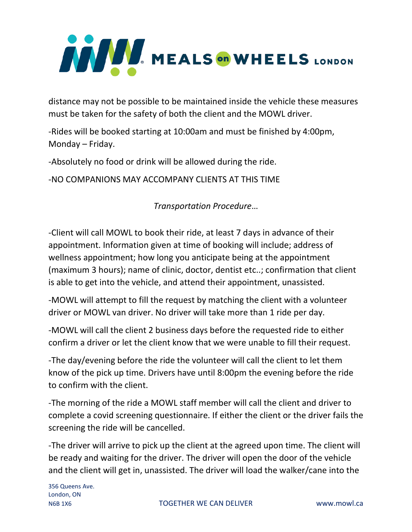

distance may not be possible to be maintained inside the vehicle these measures must be taken for the safety of both the client and the MOWL driver.

-Rides will be booked starting at 10:00am and must be finished by 4:00pm, Monday – Friday.

-Absolutely no food or drink will be allowed during the ride.

-NO COMPANIONS MAY ACCOMPANY CLIENTS AT THIS TIME

*Transportation Procedure*…

-Client will call MOWL to book their ride, at least 7 days in advance of their appointment. Information given at time of booking will include; address of wellness appointment; how long you anticipate being at the appointment (maximum 3 hours); name of clinic, doctor, dentist etc..; confirmation that client is able to get into the vehicle, and attend their appointment, unassisted.

-MOWL will attempt to fill the request by matching the client with a volunteer driver or MOWL van driver. No driver will take more than 1 ride per day.

-MOWL will call the client 2 business days before the requested ride to either confirm a driver or let the client know that we were unable to fill their request.

-The day/evening before the ride the volunteer will call the client to let them know of the pick up time. Drivers have until 8:00pm the evening before the ride to confirm with the client.

-The morning of the ride a MOWL staff member will call the client and driver to complete a covid screening questionnaire. If either the client or the driver fails the screening the ride will be cancelled.

-The driver will arrive to pick up the client at the agreed upon time. The client will be ready and waiting for the driver. The driver will open the door of the vehicle and the client will get in, unassisted. The driver will load the walker/cane into the